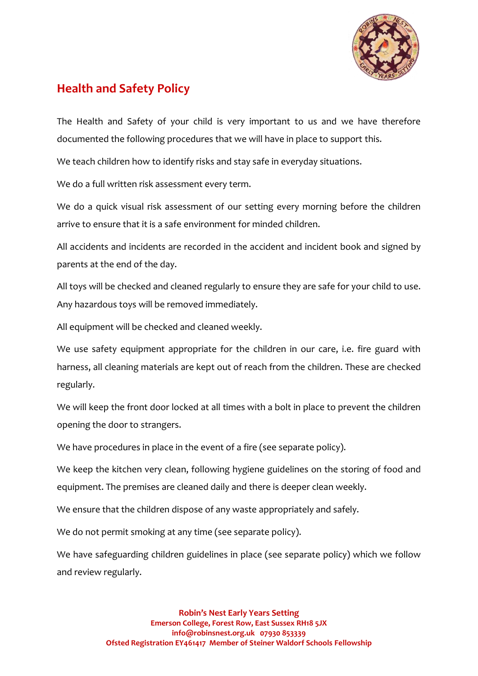

## **Health and Safety Policy**

The Health and Safety of your child is very important to us and we have therefore documented the following procedures that we will have in place to support this.

We teach children how to identify risks and stay safe in everyday situations.

We do a full written risk assessment every term.

We do a quick visual risk assessment of our setting every morning before the children arrive to ensure that it is a safe environment for minded children.

All accidents and incidents are recorded in the accident and incident book and signed by parents at the end of the day.

All toys will be checked and cleaned regularly to ensure they are safe for your child to use. Any hazardous toys will be removed immediately.

All equipment will be checked and cleaned weekly.

We use safety equipment appropriate for the children in our care, i.e. fire guard with harness, all cleaning materials are kept out of reach from the children. These are checked regularly.

We will keep the front door locked at all times with a bolt in place to prevent the children opening the door to strangers.

We have procedures in place in the event of a fire (see separate policy).

We keep the kitchen very clean, following hygiene guidelines on the storing of food and equipment. The premises are cleaned daily and there is deeper clean weekly.

We ensure that the children dispose of any waste appropriately and safely.

We do not permit smoking at any time (see separate policy).

We have safeguarding children guidelines in place (see separate policy) which we follow and review regularly.

> **Robin's Nest Early Years Setting Emerson College, Forest Row, East Sussex RH18 5JX info@robinsnest.org.uk 07930 853339 Ofsted Registration EY461417 Member of Steiner Waldorf Schools Fellowship**